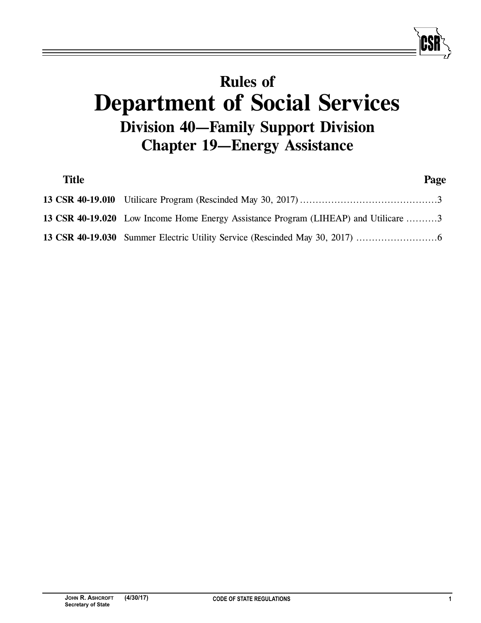# **Rules of Department of Social Services Division 40—Family Support Division Chapter 19—Energy Assistance**

| <b>Title</b> |                                                                                     | Page |
|--------------|-------------------------------------------------------------------------------------|------|
|              |                                                                                     |      |
|              | 13 CSR 40-19.020 Low Income Home Energy Assistance Program (LIHEAP) and Utilicare 3 |      |
|              |                                                                                     |      |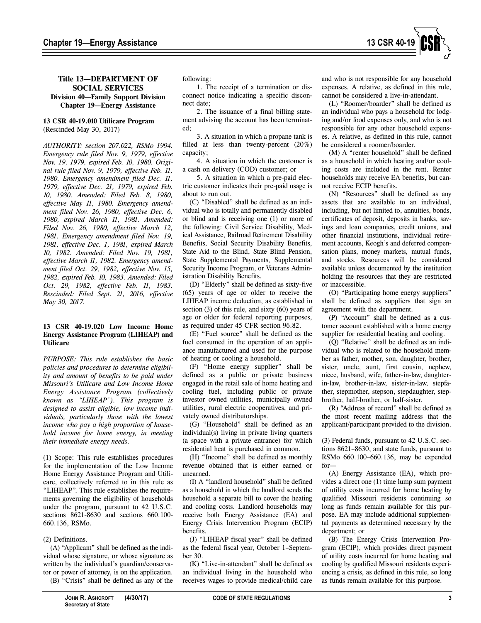

## **Title 13—DEPARTMENT OF SOCIAL SERVICES Division 40—Family Support Division Chapter 19—Energy Assistance**

## **13 CSR 40-19.010 Utilicare Program** (Rescinded May 30, 2017)

*AUTHORITY: section 207.022, RSMo 1994. Emergency rule filed Nov. 9, 1979, effective Nov. 19, 1979, expired Feb. 10, 1980. Original rule filed Nov. 9, 1979, effective Feb. 11, 1980. Emergency amendment filed Dec. 11, 1979, effective Dec. 21, 1979, expired Feb. 10, 1980. Amended: Filed Feb. 8, 1980, effective May 11, 1980. Emergency amendment filed Nov. 26, 1980, effective Dec. 6, 1980, expired March 11, 1981. Amended: Filed Nov. 26, 1980, effective March 12, 1981. Emergency amendment filed Nov. 19, 1981, effective Dec. 1, 1981, expired March 10, 1982. Amended: Filed Nov. 19, 1981, effective March 11, 1982. Emergency amendment filed Oct. 29, 1982, effective Nov. 15, 1982, expired Feb. 10, 1983. Amended: Filed Oct. 29, 1982, effective Feb. 11, 1983. Rescinded: Filed Sept. 21, 2016, effective May 30, 2017.*

#### **13 CSR 40-19.020 Low Income Home Energy Assistance Program (LIHEAP) and Utilicare**

*PURPOSE: This rule establishes the basic policies and procedures to determine eligibility and amount of benefits to be paid under Missouri's Utilicare and Low Income Home Energy Assistance Program (collectively known as "LIHEAP"). This program is designed to assist eligible, low income individuals, particularly those with the lowest income who pay a high proportion of household income for home energy, in meeting their immediate energy needs.*

(1) Scope: This rule establishes procedures for the implementation of the Low Income Home Energy Assistance Program and Utilicare, collectively referred to in this rule as "LIHEAP". This rule establishes the requirements governing the eligibility of households under the program, pursuant to 42 U.S.C. sections 8621-8630 and sections 660.100- 660.136, RSMo.

## (2) Definitions.

(A) "Applicant" shall be defined as the individual whose signature, or whose signature as written by the individual's guardian/conservator or power of attorney, is on the application.

(B) "Crisis" shall be defined as any of the

following:

1. The receipt of a termination or disconnect notice indicating a specific disconnect date;

2. The issuance of a final billing statement advising the account has been terminated;

3. A situation in which a propane tank is filled at less than twenty-percent (20%) capacity;

4. A situation in which the customer is a cash on delivery (COD) customer; or

5. A situation in which a pre-paid electric customer indicates their pre-paid usage is about to run out.

(C) "Disabled" shall be defined as an individual who is totally and permanently disabled or blind and is receiving one (1) or more of the following: Civil Service Disability, Medical Assistance, Railroad Retirement Disability Benefits, Social Security Disability Benefits, State Aid to the Blind, State Blind Pension, State Supplemental Payments, Supplemental Security Income Program, or Veterans Administration Disability Benefits.

(D) "Elderly" shall be defined as sixty-five (65) years of age or older to receive the LIHEAP income deduction, as established in section (3) of this rule, and sixty (60) years of age or older for federal reporting purposes, as required under 45 CFR section 96.82.

(E) "Fuel source" shall be defined as the fuel consumed in the operation of an appliance manufactured and used for the purpose of heating or cooling a household.

(F) "Home energy supplier" shall be defined as a public or private business engaged in the retail sale of home heating and cooling fuel, including public or private investor owned utilities, municipally owned utilities, rural electric cooperatives, and privately owned distributorships.

(G) "Household" shall be defined as an individual(s) living in private living quarters (a space with a private entrance) for which residential heat is purchased in common.

(H) "Income" shall be defined as monthly revenue obtained that is either earned or unearned.

(I) A "landlord household" shall be defined as a household in which the landlord sends the household a separate bill to cover the heating and cooling costs. Landlord households may receive both Energy Assistance (EA) and Energy Crisis Intervention Program (ECIP) benefits.

(J) "LIHEAP fiscal year" shall be defined as the federal fiscal year, October 1–September 30.

(K) "Live-in-attendant" shall be defined as an individual living in the household who receives wages to provide medical/child care

and who is not responsible for any household expenses. A relative, as defined in this rule, cannot be considered a live-in-attendant.

(L) "Roomer/boarder" shall be defined as an individual who pays a household for lodging and/or food expenses only, and who is not responsible for any other household expenses. A relative, as defined in this rule, cannot be considered a roomer/boarder.

(M) A "renter household" shall be defined as a household in which heating and/or cooling costs are included in the rent. Renter households may receive EA benefits, but cannot receive ECIP benefits.

(N) "Resources" shall be defined as any assets that are available to an individual, including, but not limited to, annuities, bonds, certificates of deposit, deposits in banks, savings and loan companies, credit unions, and other financial institutions, individual retirement accounts, Keogh's and deferred compensation plans, money markets, mutual funds, and stocks. Resources will be considered available unless documented by the institution holding the resources that they are restricted or inaccessible.

(O) "Participating home energy suppliers" shall be defined as suppliers that sign an agreement with the department.

(P) "Account" shall be defined as a customer account established with a home energy supplier for residential heating and cooling.

(Q) "Relative" shall be defined as an individual who is related to the household member as father, mother, son, daughter, brother, sister, uncle, aunt, first cousin, nephew, niece, husband, wife, father-in-law, daughterin-law, brother-in-law, sister-in-law, stepfather, stepmother, stepson, stepdaughter, stepbrother, half-brother, or half-sister.

(R) "Address of record" shall be defined as the most recent mailing address that the applicant/participant provided to the division.

(3) Federal funds, pursuant to 42 U.S.C. sections 8621–8630, and state funds, pursuant to RSMo 660.100–660.136, may be expended for—

(A) Energy Assistance (EA), which provides a direct one (1) time lump sum payment of utility costs incurred for home heating by qualified Missouri residents continuing so long as funds remain available for this purpose. EA may include additional supplemental payments as determined necessary by the department; or

(B) The Energy Crisis Intervention Program (ECIP), which provides direct payment of utility costs incurred for home heating and cooling by qualified Missouri residents experiencing a crisis, as defined in this rule, so long as funds remain available for this purpose.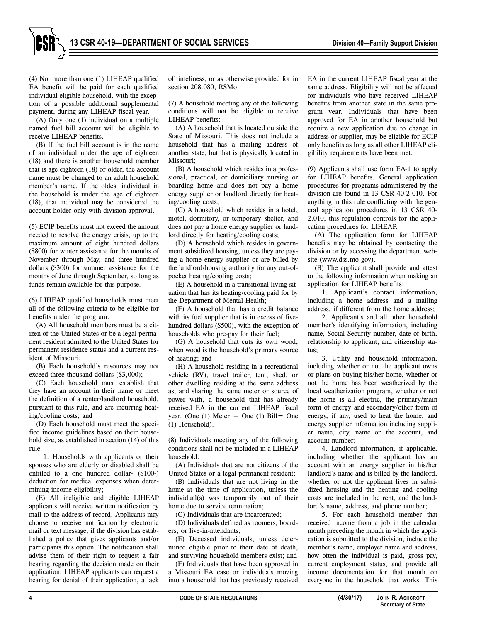

(4) Not more than one (1) LIHEAP qualified EA benefit will be paid for each qualified individual eligible household, with the exception of a possible additional supplemental payment, during any LIHEAP fiscal year.

(A) Only one (1) individual on a multiple named fuel bill account will be eligible to receive LIHEAP benefits.

(B) If the fuel bill account is in the name of an individual under the age of eighteen (18) and there is another household member that is age eighteen (18) or older, the account name must be changed to an adult household member's name. If the oldest individual in the household is under the age of eighteen (18), that individual may be considered the account holder only with division approval.

(5) ECIP benefits must not exceed the amount needed to resolve the energy crisis, up to the maximum amount of eight hundred dollars (\$800) for winter assistance for the months of November through May, and three hundred dollars (\$300) for summer assistance for the months of June through September, so long as funds remain available for this purpose.

(6) LIHEAP qualified households must meet all of the following criteria to be eligible for benefits under the program:

(A) All household members must be a citizen of the United States or be a legal permanent resident admitted to the United States for permanent residence status and a current resident of Missouri;

(B) Each household's resources may not exceed three thousand dollars (\$3,000);

(C) Each household must establish that they have an account in their name or meet the definition of a renter/landlord household, pursuant to this rule, and are incurring heating/cooling costs; and

(D) Each household must meet the specified income guidelines based on their household size, as established in section (14) of this rule.

1. Households with applicants or their spouses who are elderly or disabled shall be entitled to a one hundred dollar- (\$100-) deduction for medical expenses when determining income eligibility;

(E) All ineligible and eligible LIHEAP applicants will receive written notification by mail to the address of record. Applicants may choose to receive notification by electronic mail or text message, if the division has established a policy that gives applicants and/or participants this option. The notification shall advise them of their right to request a fair hearing regarding the decision made on their application. LIHEAP applicants can request a hearing for denial of their application, a lack

of timeliness, or as otherwise provided for in section 208.080, RSMo.

(7) A household meeting any of the following conditions will not be eligible to receive LIHEAP benefits:

(A) A household that is located outside the State of Missouri. This does not include a household that has a mailing address of another state, but that is physically located in Missouri;

(B) A household which resides in a professional, practical, or domiciliary nursing or boarding home and does not pay a home energy supplier or landlord directly for heating/cooling costs;

(C) A household which resides in a hotel, motel, dormitory, or temporary shelter, and does not pay a home energy supplier or landlord directly for heating/cooling costs;

(D) A household which resides in government subsidized housing, unless they are paying a home energy supplier or are billed by the landlord/housing authority for any out-ofpocket heating/cooling costs;

(E) A household in a transitional living situation that has its heating/cooling paid for by the Department of Mental Health;

(F) A household that has a credit balance with its fuel supplier that is in excess of fivehundred dollars (\$500), with the exception of households who pre-pay for their fuel;

(G) A household that cuts its own wood, when wood is the household's primary source of heating; and

(H) A household residing in a recreational vehicle (RV), travel trailer, tent, shed, or other dwelling residing at the same address as, and sharing the same meter or source of power with, a household that has already received EA in the current LIHEAP fiscal year. (One  $(1)$  Meter + One  $(1)$  Bill = One (1) Household).

(8) Individuals meeting any of the following conditions shall not be included in a LIHEAP household:

(A) Individuals that are not citizens of the United States or a legal permanent resident;

(B) Individuals that are not living in the home at the time of application, unless the individual(s) was temporarily out of their home due to service termination;

(C) Individuals that are incarcerated;

(D) Individuals defined as roomers, boarders, or live-in-attendants;

(E) Deceased individuals, unless determined eligible prior to their date of death, and surviving household members exist; and

(F) Individuals that have been approved in a Missouri EA case or individuals moving into a household that has previously received

EA in the current LIHEAP fiscal year at the same address. Eligibility will not be affected for individuals who have received LIHEAP benefits from another state in the same program year. Individuals that have been approved for EA in another household but require a new application due to change in address or supplier, may be eligible for ECIP only benefits as long as all other LIHEAP eligibility requirements have been met.

(9) Applicants shall use form EA-1 to apply for LIHEAP benefits. General application procedures for programs administered by the division are found in 13 CSR 40-2.010. For anything in this rule conflicting with the general application procedures in 13 CSR 40- 2.010, this regulation controls for the application procedures for LIHEAP.

(A) The application form for LIHEAP benefits may be obtained by contacting the division or by accessing the department website (www.dss.mo.gov).

(B) The applicant shall provide and attest to the following information when making an application for LIHEAP benefits:

1. Applicant's contact information, including a home address and a mailing address, if different from the home address;

2. Applicant's and all other household member's identifying information, including name, Social Security number, date of birth, relationship to applicant, and citizenship status;

3. Utility and household information, including whether or not the applicant owns or plans on buying his/her home, whether or not the home has been weatherized by the local weatherization program, whether or not the home is all electric, the primary/main form of energy and secondary/other form of energy, if any, used to heat the home, and energy supplier information including supplier name, city, name on the account, and account number;

4. Landlord information, if applicable, including whether the applicant has an account with an energy supplier in his/her landlord's name and is billed by the landlord, whether or not the applicant lives in subsidized housing and the heating and cooling costs are included in the rent, and the landlord's name, address, and phone number;

5. For each household member that received income from a job in the calendar month preceding the month in which the application is submitted to the division, include the member's name, employer name and address, how often the individual is paid, gross pay, current employment status, and provide all income documentation for that month on everyone in the household that works. This

**Secretary of State**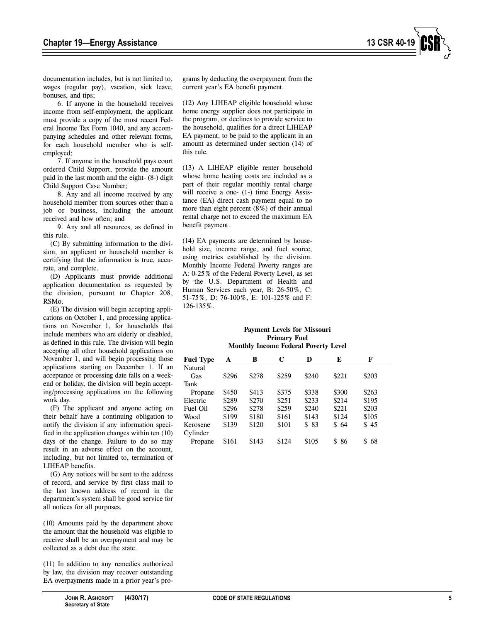documentation includes, but is not limited to, wages (regular pay), vacation, sick leave, bonuses, and tips;

6. If anyone in the household receives income from self-employment, the applicant must provide a copy of the most recent Federal Income Tax Form 1040, and any accompanying schedules and other relevant forms, for each household member who is selfemployed;

7. If anyone in the household pays court ordered Child Support, provide the amount paid in the last month and the eight- (8-) digit Child Support Case Number;

8. Any and all income received by any household member from sources other than a job or business, including the amount received and how often; and

9. Any and all resources, as defined in this rule.

(C) By submitting information to the division, an applicant or household member is certifying that the information is true, accurate, and complete.

(D) Applicants must provide additional application documentation as requested by the division, pursuant to Chapter 208, RSMo.

(E) The division will begin accepting applications on October 1, and processing applications on November 1, for households that include members who are elderly or disabled, as defined in this rule. The division will begin accepting all other household applications on November 1, and will begin processing those applications starting on December 1. If an acceptance or processing date falls on a weekend or holiday, the division will begin accepting/processing applications on the following work day.

(F) The applicant and anyone acting on their behalf have a continuing obligation to notify the division if any information specified in the application changes within ten (10) days of the change. Failure to do so may result in an adverse effect on the account, including, but not limited to, termination of LIHEAP benefits.

(G) Any notices will be sent to the address of record, and service by first class mail to the last known address of record in the department's system shall be good service for all notices for all purposes.

(10) Amounts paid by the department above the amount that the household was eligible to receive shall be an overpayment and may be collected as a debt due the state.

(11) In addition to any remedies authorized by law, the division may recover outstanding EA overpayments made in a prior year's pro-

grams by deducting the overpayment from the current year's EA benefit payment.

(12) Any LIHEAP eligible household whose home energy supplier does not participate in the program, or declines to provide service to the household, qualifies for a direct LIHEAP EA payment, to be paid to the applicant in an amount as determined under section (14) of this rule.

(13) A LIHEAP eligible renter household whose home heating costs are included as a part of their regular monthly rental charge will receive a one- (1-) time Energy Assistance (EA) direct cash payment equal to no more than eight percent (8%) of their annual rental charge not to exceed the maximum EA benefit payment.

(14) EA payments are determined by household size, income range, and fuel source, using metrics established by the division. Monthly Income Federal Poverty ranges are A: 0-25% of the Federal Poverty Level, as set by the U.S. Department of Health and Human Services each year, B: 26-50%, C: 51-75%, D: 76-100%, E: 101-125% and F: 126-135%.

#### **Payment Levels for Missouri Primary Fuel Monthly Income Federal Poverty Level**

| <b>Fuel Type</b> | A     | в     | C     | D     | E     | F        |
|------------------|-------|-------|-------|-------|-------|----------|
| Natural          |       |       |       |       |       |          |
| Gas              | \$296 | \$278 | \$259 | \$240 | \$221 | \$203    |
| Tank             |       |       |       |       |       |          |
| Propane          | \$450 | \$413 | \$375 | \$338 | \$300 | \$263    |
| Electric         | \$289 | \$270 | \$251 | \$233 | \$214 | \$195    |
| Fuel Oil         | \$296 | \$278 | \$259 | \$240 | \$221 | \$203    |
| Wood             | \$199 | \$180 | \$161 | \$143 | \$124 | \$105    |
| Kerosene         | \$139 | \$120 | \$101 | \$ 83 | \$64  | \$45     |
| Cylinder         |       |       |       |       |       |          |
| Propane          | \$161 | \$143 | \$124 | \$105 | \$86  | \$<br>68 |
|                  |       |       |       |       |       |          |